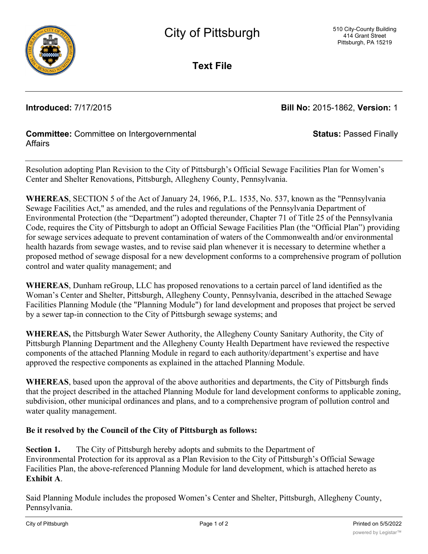

**Text File**

**Introduced:** 7/17/2015 **Bill No:** 2015-1862, **Version:** 1

**Status:** Passed Finally

## **Committee:** Committee on Intergovernmental **Affairs**

Resolution adopting Plan Revision to the City of Pittsburgh's Official Sewage Facilities Plan for Women's Center and Shelter Renovations, Pittsburgh, Allegheny County, Pennsylvania.

**WHEREAS**, SECTION 5 of the Act of January 24, 1966, P.L. 1535, No. 537, known as the "Pennsylvania Sewage Facilities Act," as amended, and the rules and regulations of the Pennsylvania Department of Environmental Protection (the "Department") adopted thereunder, Chapter 71 of Title 25 of the Pennsylvania Code, requires the City of Pittsburgh to adopt an Official Sewage Facilities Plan (the "Official Plan") providing for sewage services adequate to prevent contamination of waters of the Commonwealth and/or environmental health hazards from sewage wastes, and to revise said plan whenever it is necessary to determine whether a proposed method of sewage disposal for a new development conforms to a comprehensive program of pollution control and water quality management; and

**WHEREAS**, Dunham reGroup, LLC has proposed renovations to a certain parcel of land identified as the Woman's Center and Shelter, Pittsburgh, Allegheny County, Pennsylvania, described in the attached Sewage Facilities Planning Module (the "Planning Module") for land development and proposes that project be served by a sewer tap-in connection to the City of Pittsburgh sewage systems; and

**WHEREAS,** the Pittsburgh Water Sewer Authority, the Allegheny County Sanitary Authority, the City of Pittsburgh Planning Department and the Allegheny County Health Department have reviewed the respective components of the attached Planning Module in regard to each authority/department's expertise and have approved the respective components as explained in the attached Planning Module.

**WHEREAS**, based upon the approval of the above authorities and departments, the City of Pittsburgh finds that the project described in the attached Planning Module for land development conforms to applicable zoning, subdivision, other municipal ordinances and plans, and to a comprehensive program of pollution control and water quality management.

## **Be it resolved by the Council of the City of Pittsburgh as follows:**

**Section 1.** The City of Pittsburgh hereby adopts and submits to the Department of Environmental Protection for its approval as a Plan Revision to the City of Pittsburgh's Official Sewage Facilities Plan, the above-referenced Planning Module for land development, which is attached hereto as **Exhibit A**.

Said Planning Module includes the proposed Women's Center and Shelter, Pittsburgh, Allegheny County, Pennsylvania.